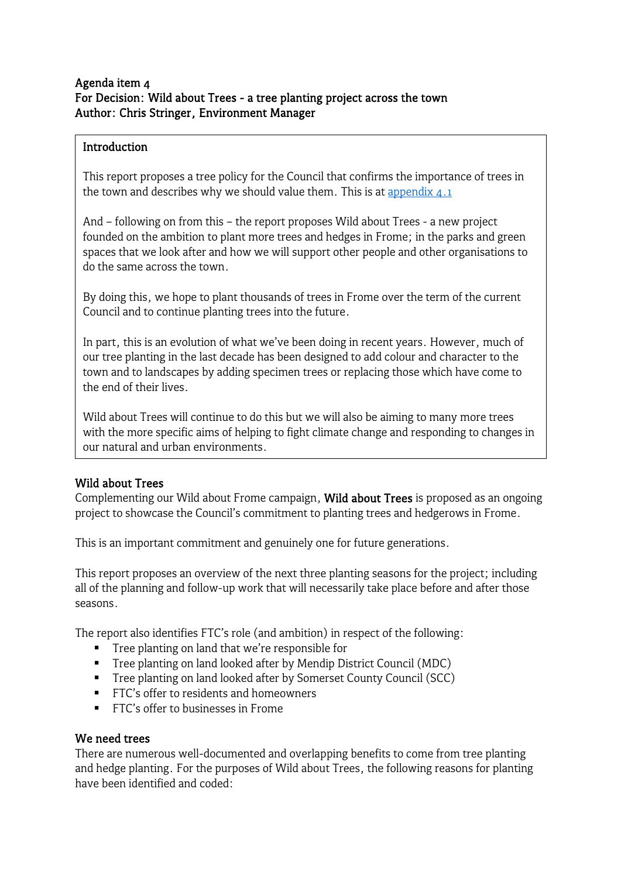#### Agenda item 4 For Decision: Wild about Trees - a tree planting project across the town Author: Chris Stringer, Environment Manager

#### Introduction

This report proposes a tree policy for the Council that confirms the importance of trees in the town and describes why we should value them. This is at appendix  $\Delta$ .1

And – following on from this – the report proposes Wild about Trees - a new project founded on the ambition to plant more trees and hedges in Frome; in the parks and green spaces that we look after and how we will support other people and other organisations to do the same across the town.

By doing this, we hope to plant thousands of trees in Frome over the term of the current Council and to continue planting trees into the future.

In part, this is an evolution of what we've been doing in recent years. However, much of our tree planting in the last decade has been designed to add colour and character to the town and to landscapes by adding specimen trees or replacing those which have come to the end of their lives.

Wild about Trees will continue to do this but we will also be aiming to many more trees with the more specific aims of helping to fight climate change and responding to changes in our natural and urban environments.

# Wild about Trees

Complementing our Wild about Frome campaign, Wild about Trees is proposed as an ongoing project to showcase the Council's commitment to planting trees and hedgerows in Frome.

This is an important commitment and genuinely one for future generations.

This report proposes an overview of the next three planting seasons for the project; including all of the planning and follow-up work that will necessarily take place before and after those seasons.

The report also identifies FTC's role (and ambition) in respect of the following:

- **Tree planting on land that we're responsible for**
- Tree planting on land looked after by Mendip District Council (MDC)
- **Tree planting on land looked after by Somerset County Council (SCC)**
- **FTC's offer to residents and homeowners**
- **FTC's offer to businesses in Frome**

#### We need trees

There are numerous well-documented and overlapping benefits to come from tree planting and hedge planting. For the purposes of Wild about Trees, the following reasons for planting have been identified and coded: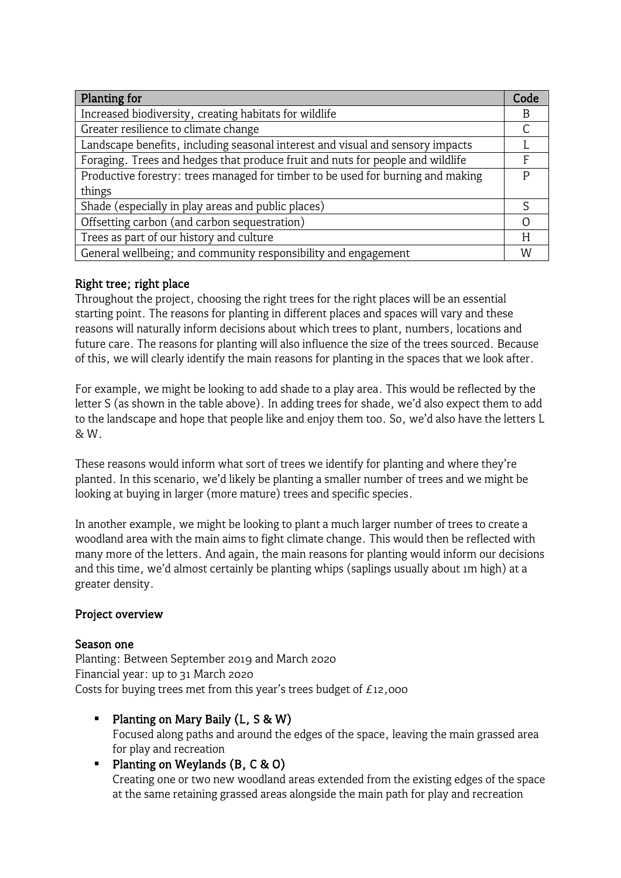| Planting for                                                                    | Code |
|---------------------------------------------------------------------------------|------|
| Increased biodiversity, creating habitats for wildlife                          | B    |
| Greater resilience to climate change                                            |      |
| Landscape benefits, including seasonal interest and visual and sensory impacts  |      |
| Foraging. Trees and hedges that produce fruit and nuts for people and wildlife  |      |
| Productive forestry: trees managed for timber to be used for burning and making |      |
| things                                                                          |      |
| Shade (especially in play areas and public places)                              |      |
| Offsetting carbon (and carbon sequestration)                                    |      |
| Trees as part of our history and culture                                        | H    |
| General wellbeing; and community responsibility and engagement                  | W    |

# Right tree; right place

Throughout the project, choosing the right trees for the right places will be an essential starting point. The reasons for planting in different places and spaces will vary and these reasons will naturally inform decisions about which trees to plant, numbers, locations and future care. The reasons for planting will also influence the size of the trees sourced. Because of this, we will clearly identify the main reasons for planting in the spaces that we look after.

For example, we might be looking to add shade to a play area. This would be reflected by the letter S (as shown in the table above). In adding trees for shade, we'd also expect them to add to the landscape and hope that people like and enjoy them too. So, we'd also have the letters L & W.

These reasons would inform what sort of trees we identify for planting and where they're planted. In this scenario, we'd likely be planting a smaller number of trees and we might be looking at buying in larger (more mature) trees and specific species.

In another example, we might be looking to plant a much larger number of trees to create a woodland area with the main aims to fight climate change. This would then be reflected with many more of the letters. And again, the main reasons for planting would inform our decisions and this time, we'd almost certainly be planting whips (saplings usually about 1m high) at a greater density.

# Project overview

# Season one

Planting: Between September 2019 and March 2020 Financial year: up to 31 March 2020 Costs for buying trees met from this year's trees budget of  $E_{12}$ ,000

- Planting on Mary Baily  $(L, S & W)$ Focused along paths and around the edges of the space, leaving the main grassed area for play and recreation
- Planting on Weylands  $(B, C & O)$ Creating one or two new woodland areas extended from the existing edges of the space at the same retaining grassed areas alongside the main path for play and recreation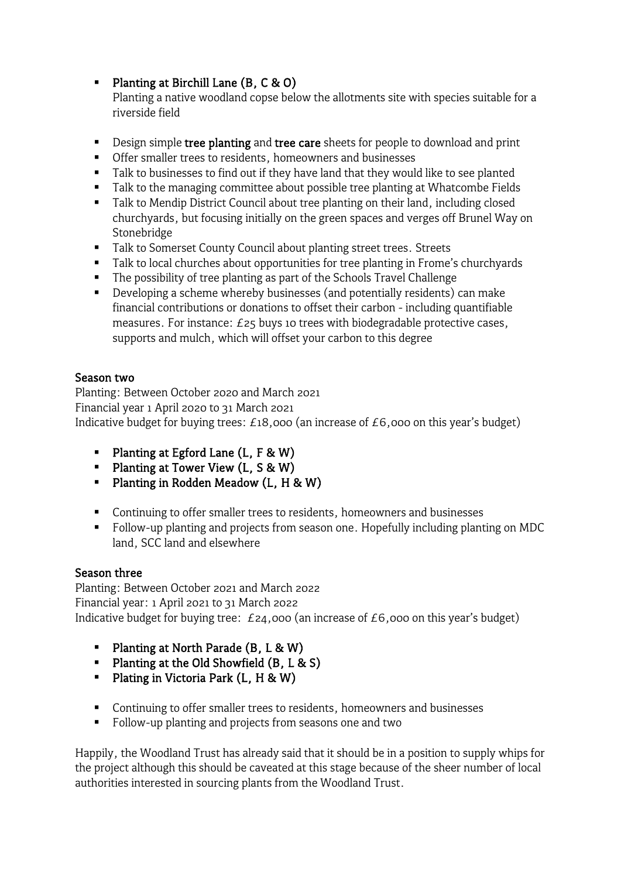Planting at Birchill Lane  $(B, C & O)$ 

Planting a native woodland copse below the allotments site with species suitable for a riverside field

- Design simple tree planting and tree care sheets for people to download and print
- Offer smaller trees to residents, homeowners and businesses
- Talk to businesses to find out if they have land that they would like to see planted
- Talk to the managing committee about possible tree planting at Whatcombe Fields
- **Talk to Mendip District Council about tree planting on their land, including closed** churchyards, but focusing initially on the green spaces and verges off Brunel Way on Stonebridge
- Talk to Somerset County Council about planting street trees. Streets
- Talk to local churches about opportunities for tree planting in Frome's churchyards
- The possibility of tree planting as part of the Schools Travel Challenge
- Developing a scheme whereby businesses (and potentially residents) can make financial contributions or donations to offset their carbon - including quantifiable measures. For instance: £25 buys 10 trees with biodegradable protective cases, supports and mulch, which will offset your carbon to this degree

# Season two

Planting: Between October 2020 and March 2021 Financial year 1 April 2020 to 31 March 2021 Indicative budget for buying trees: £18,000 (an increase of £6,000 on this year's budget)

- Planting at Egford Lane  $(L, F & W)$
- Planting at Tower View  $(L, S & W)$
- **Planting in Rodden Meadow (L, H & W)**
- **Continuing to offer smaller trees to residents, homeowners and businesses**
- Follow-up planting and projects from season one. Hopefully including planting on MDC land, SCC land and elsewhere

#### Season three

Planting: Between October 2021 and March 2022 Financial year: 1 April 2021 to 31 March 2022 Indicative budget for buying tree:  $E_{24,000}$  (an increase of  $E_{6,000}$  on this year's budget)

- Planting at North Parade  $(B, L & W)$
- Planting at the Old Showfield  $(B, L & S)$
- Plating in Victoria Park  $(L, H & W)$
- **Continuing to offer smaller trees to residents, homeowners and businesses**
- Follow-up planting and projects from seasons one and two

Happily, the Woodland Trust has already said that it should be in a position to supply whips for the project although this should be caveated at this stage because of the sheer number of local authorities interested in sourcing plants from the Woodland Trust.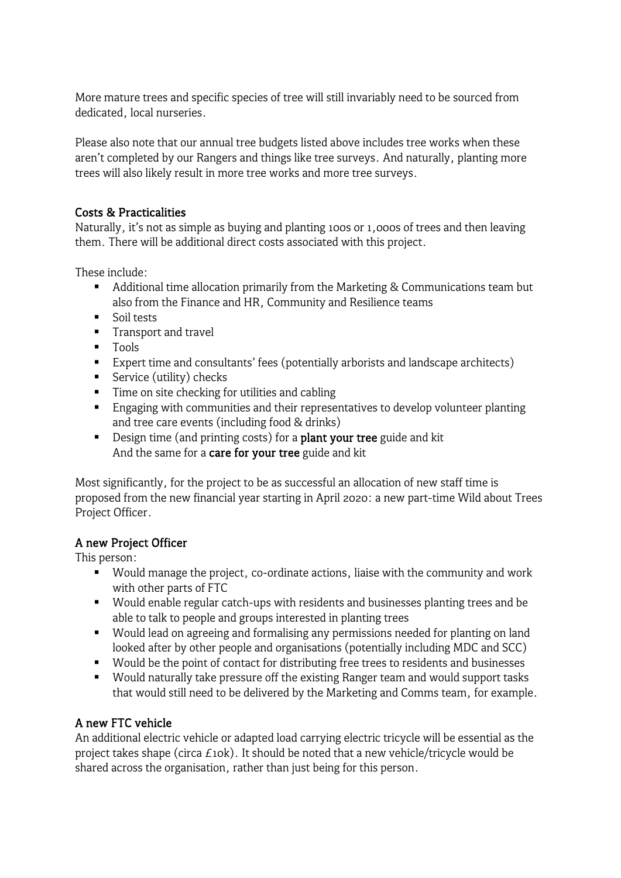More mature trees and specific species of tree will still invariably need to be sourced from dedicated, local nurseries.

Please also note that our annual tree budgets listed above includes tree works when these aren't completed by our Rangers and things like tree surveys. And naturally, planting more trees will also likely result in more tree works and more tree surveys.

#### Costs & Practicalities

Naturally, it's not as simple as buying and planting 100s or 1,000s of trees and then leaving them. There will be additional direct costs associated with this project.

These include:

- Additional time allocation primarily from the Marketing & Communications team but also from the Finance and HR, Community and Resilience teams
- **Soil tests**
- **Transport and travel**
- **Tools**
- Expert time and consultants' fees (potentially arborists and landscape architects)
- Service (utility) checks
- **Time on site checking for utilities and cabling**
- **Engaging with communities and their representatives to develop volunteer planting** and tree care events (including food & drinks)
- Design time (and printing costs) for a **plant your tree** guide and kit And the same for a care for your tree guide and kit

Most significantly, for the project to be as successful an allocation of new staff time is proposed from the new financial year starting in April 2020: a new part-time Wild about Trees Project Officer.

# A new Project Officer

This person:

- Would manage the project, co-ordinate actions, liaise with the community and work with other parts of FTC
- Would enable regular catch-ups with residents and businesses planting trees and be able to talk to people and groups interested in planting trees
- Would lead on agreeing and formalising any permissions needed for planting on land looked after by other people and organisations (potentially including MDC and SCC)
- Would be the point of contact for distributing free trees to residents and businesses
- Would naturally take pressure off the existing Ranger team and would support tasks that would still need to be delivered by the Marketing and Comms team, for example.

# A new FTC vehicle

An additional electric vehicle or adapted load carrying electric tricycle will be essential as the project takes shape (circa  $E10k$ ). It should be noted that a new vehicle/tricycle would be shared across the organisation, rather than just being for this person.